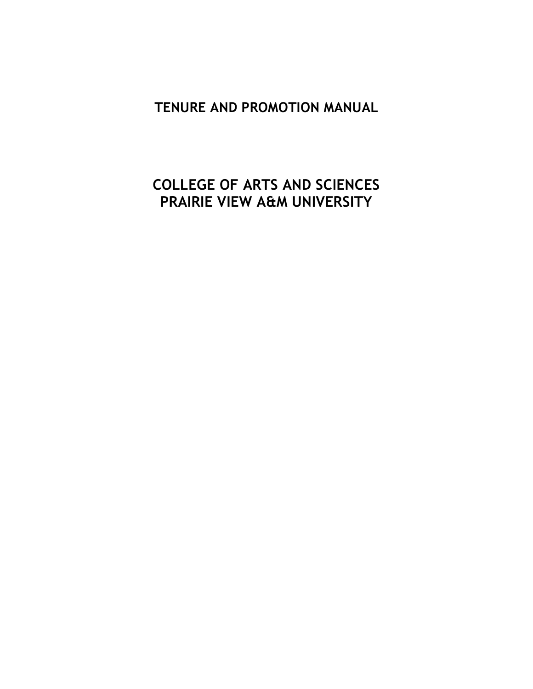# **TENURE AND PROMOTION MANUAL**

# **COLLEGE OF ARTS AND SCIENCES PRAIRIE VIEW A&M UNIVERSITY**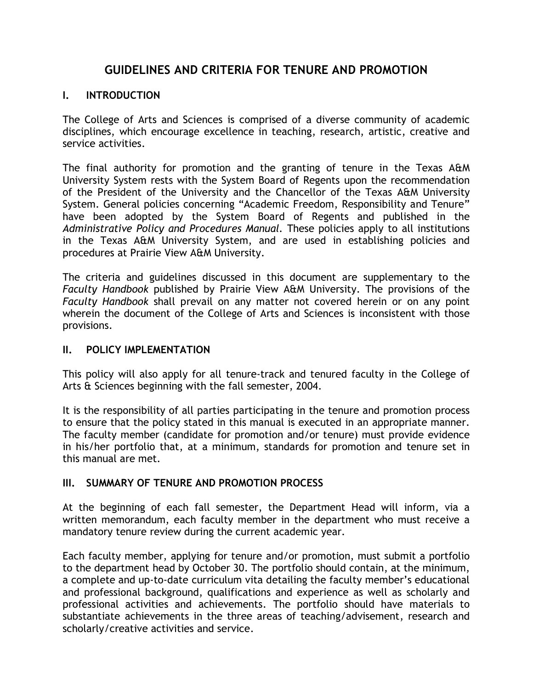# **GUIDELINES AND CRITERIA FOR TENURE AND PROMOTION**

### **I. INTRODUCTION**

The College of Arts and Sciences is comprised of a diverse community of academic disciplines, which encourage excellence in teaching, research, artistic, creative and service activities.

The final authority for promotion and the granting of tenure in the Texas A&M University System rests with the System Board of Regents upon the recommendation of the President of the University and the Chancellor of the Texas A&M University System. General policies concerning "Academic Freedom, Responsibility and Tenure" have been adopted by the System Board of Regents and published in the *Administrative Policy and Procedures Manual.* These policies apply to all institutions in the Texas A&M University System, and are used in establishing policies and procedures at Prairie View A&M University.

The criteria and guidelines discussed in this document are supplementary to the *Faculty Handbook* published by Prairie View A&M University. The provisions of the *Faculty Handbook* shall prevail on any matter not covered herein or on any point wherein the document of the College of Arts and Sciences is inconsistent with those provisions.

#### **II. POLICY IMPLEMENTATION**

This policy will also apply for all tenure-track and tenured faculty in the College of Arts & Sciences beginning with the fall semester, 2004.

It is the responsibility of all parties participating in the tenure and promotion process to ensure that the policy stated in this manual is executed in an appropriate manner. The faculty member (candidate for promotion and/or tenure) must provide evidence in his/her portfolio that, at a minimum, standards for promotion and tenure set in this manual are met.

# **III. SUMMARY OF TENURE AND PROMOTION PROCESS**

At the beginning of each fall semester, the Department Head will inform, via a written memorandum, each faculty member in the department who must receive a mandatory tenure review during the current academic year.

Each faculty member, applying for tenure and/or promotion, must submit a portfolio to the department head by October 30. The portfolio should contain, at the minimum, a complete and up-to-date curriculum vita detailing the faculty member's educational and professional background, qualifications and experience as well as scholarly and professional activities and achievements. The portfolio should have materials to substantiate achievements in the three areas of teaching/advisement, research and scholarly/creative activities and service.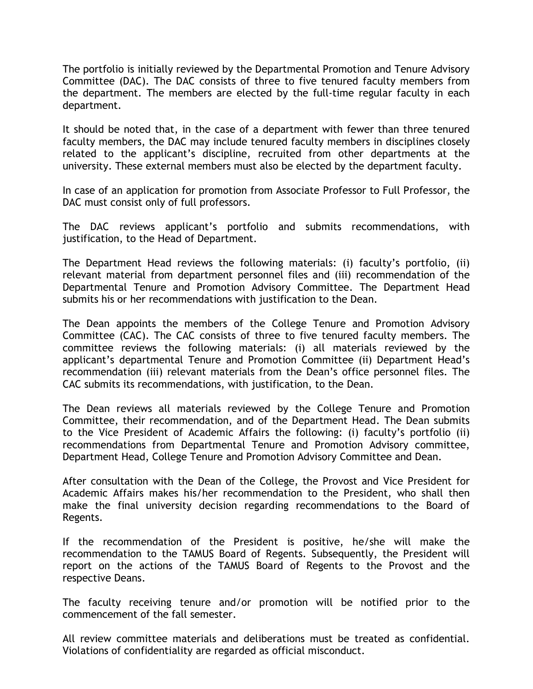The portfolio is initially reviewed by the Departmental Promotion and Tenure Advisory Committee (DAC). The DAC consists of three to five tenured faculty members from the department. The members are elected by the full-time regular faculty in each department.

It should be noted that, in the case of a department with fewer than three tenured faculty members, the DAC may include tenured faculty members in disciplines closely related to the applicant's discipline, recruited from other departments at the university. These external members must also be elected by the department faculty.

In case of an application for promotion from Associate Professor to Full Professor, the DAC must consist only of full professors.

The DAC reviews applicant's portfolio and submits recommendations, with justification, to the Head of Department.

The Department Head reviews the following materials: (i) faculty's portfolio, (ii) relevant material from department personnel files and (iii) recommendation of the Departmental Tenure and Promotion Advisory Committee. The Department Head submits his or her recommendations with justification to the Dean.

The Dean appoints the members of the College Tenure and Promotion Advisory Committee (CAC). The CAC consists of three to five tenured faculty members. The committee reviews the following materials: (i) all materials reviewed by the applicant's departmental Tenure and Promotion Committee (ii) Department Head's recommendation (iii) relevant materials from the Dean's office personnel files. The CAC submits its recommendations, with justification, to the Dean.

The Dean reviews all materials reviewed by the College Tenure and Promotion Committee, their recommendation, and of the Department Head. The Dean submits to the Vice President of Academic Affairs the following: (i) faculty's portfolio (ii) recommendations from Departmental Tenure and Promotion Advisory committee, Department Head, College Tenure and Promotion Advisory Committee and Dean.

After consultation with the Dean of the College, the Provost and Vice President for Academic Affairs makes his/her recommendation to the President, who shall then make the final university decision regarding recommendations to the Board of Regents.

If the recommendation of the President is positive, he/she will make the recommendation to the TAMUS Board of Regents. Subsequently, the President will report on the actions of the TAMUS Board of Regents to the Provost and the respective Deans.

The faculty receiving tenure and/or promotion will be notified prior to the commencement of the fall semester.

All review committee materials and deliberations must be treated as confidential. Violations of confidentiality are regarded as official misconduct.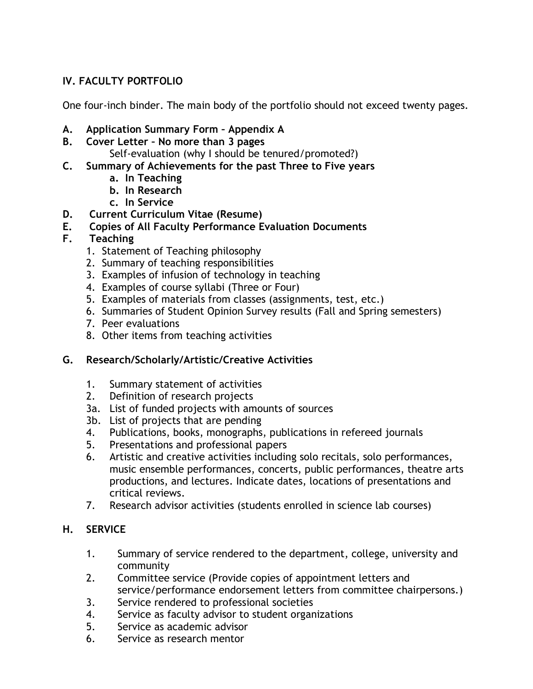# **IV. FACULTY PORTFOLIO**

One four-inch binder. The main body of the portfolio should not exceed twenty pages.

- **A. Application Summary Form – Appendix A**
- **B. Cover Letter – No more than 3 pages**
	- Self-evaluation (why I should be tenured/promoted?)
- **C. Summary of Achievements for the past Three to Five years**
	- **a. In Teaching**
	- **b. In Research**
	- **c. In Service**
- **D. Current Curriculum Vitae (Resume)**
- **E. Copies of All Faculty Performance Evaluation Documents**
- **F. Teaching**
	- 1. Statement of Teaching philosophy
	- 2. Summary of teaching responsibilities
	- 3. Examples of infusion of technology in teaching
	- 4. Examples of course syllabi (Three or Four)
	- 5. Examples of materials from classes (assignments, test, etc.)
	- 6. Summaries of Student Opinion Survey results (Fall and Spring semesters)
	- 7. Peer evaluations
	- 8. Other items from teaching activities
- **G. Research/Scholarly/Artistic/Creative Activities**
	- 1. Summary statement of activities
	- 2. Definition of research projects
	- 3a. List of funded projects with amounts of sources
	- 3b. List of projects that are pending
	- 4. Publications, books, monographs, publications in refereed journals
	- 5. Presentations and professional papers
	- 6. Artistic and creative activities including solo recitals, solo performances, music ensemble performances, concerts, public performances, theatre arts productions, and lectures. Indicate dates, locations of presentations and critical reviews.
	- 7. Research advisor activities (students enrolled in science lab courses)

# **H. SERVICE**

- 1. Summary of service rendered to the department, college, university and community
- 2. Committee service (Provide copies of appointment letters and service/performance endorsement letters from committee chairpersons.)
- 3. Service rendered to professional societies
- 4. Service as faculty advisor to student organizations
- 5. Service as academic advisor
- 6. Service as research mentor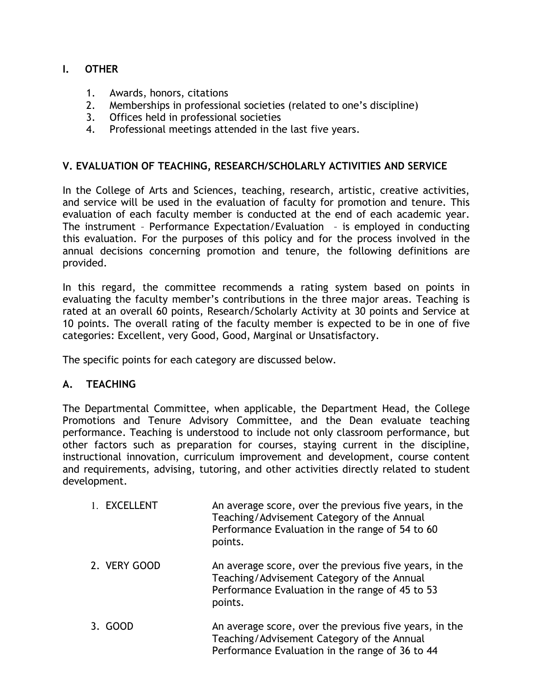# **I. OTHER**

- 1. Awards, honors, citations
- 2. Memberships in professional societies (related to one's discipline)
- 3. Offices held in professional societies
- 4. Professional meetings attended in the last five years.

## **V. EVALUATION OF TEACHING, RESEARCH/SCHOLARLY ACTIVITIES AND SERVICE**

In the College of Arts and Sciences, teaching, research, artistic, creative activities, and service will be used in the evaluation of faculty for promotion and tenure. This evaluation of each faculty member is conducted at the end of each academic year. The instrument – Performance Expectation/Evaluation – is employed in conducting this evaluation. For the purposes of this policy and for the process involved in the annual decisions concerning promotion and tenure, the following definitions are provided.

In this regard, the committee recommends a rating system based on points in evaluating the faculty member's contributions in the three major areas. Teaching is rated at an overall 60 points, Research/Scholarly Activity at 30 points and Service at 10 points. The overall rating of the faculty member is expected to be in one of five categories: Excellent, very Good, Good, Marginal or Unsatisfactory.

The specific points for each category are discussed below.

# **A. TEACHING**

The Departmental Committee, when applicable, the Department Head, the College Promotions and Tenure Advisory Committee, and the Dean evaluate teaching performance. Teaching is understood to include not only classroom performance, but other factors such as preparation for courses, staying current in the discipline, instructional innovation, curriculum improvement and development, course content and requirements, advising, tutoring, and other activities directly related to student development.

- 1. EXCELLENT An average score, over the previous five years, in the Teaching/Advisement Category of the Annual Performance Evaluation in the range of 54 to 60 points.
- 2. VERY GOOD An average score, over the previous five years, in the Teaching/Advisement Category of the Annual Performance Evaluation in the range of 45 to 53 points.
- 3. GOOD An average score, over the previous five years, in the Teaching/Advisement Category of the Annual Performance Evaluation in the range of 36 to 44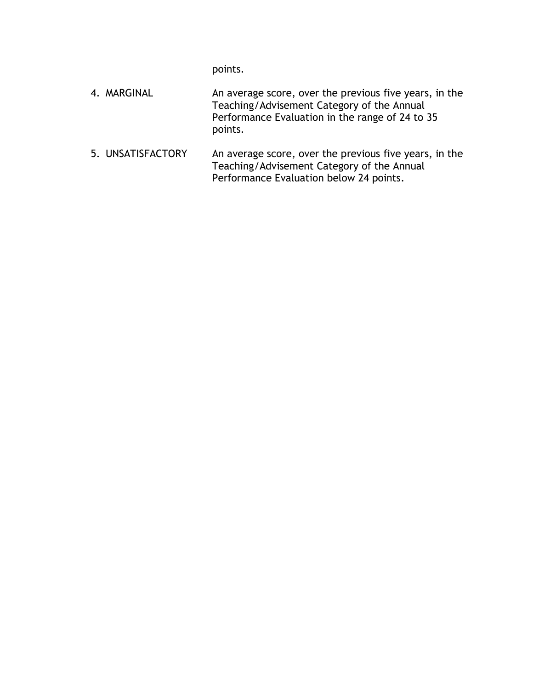points.

- 4. MARGINAL **An average score, over the previous five years, in the** Teaching/Advisement Category of the Annual Performance Evaluation in the range of 24 to 35 points.
- 5. UNSATISFACTORY An average score, over the previous five years, in the Teaching/Advisement Category of the Annual Performance Evaluation below 24 points.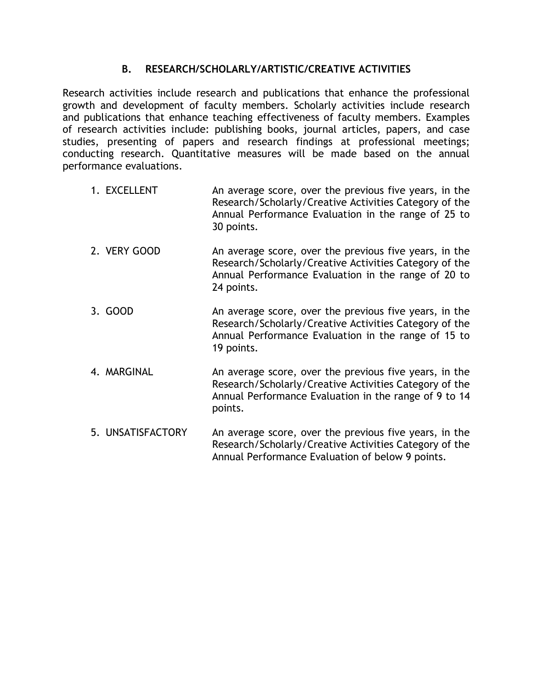## **B. RESEARCH/SCHOLARLY/ARTISTIC/CREATIVE ACTIVITIES**

Research activities include research and publications that enhance the professional growth and development of faculty members. Scholarly activities include research and publications that enhance teaching effectiveness of faculty members. Examples of research activities include: publishing books, journal articles, papers, and case studies, presenting of papers and research findings at professional meetings; conducting research. Quantitative measures will be made based on the annual performance evaluations.

- 1. EXCELLENT An average score, over the previous five years, in the Research/Scholarly/Creative Activities Category of the Annual Performance Evaluation in the range of 25 to 30 points.
- 2. VERY GOOD An average score, over the previous five years, in the Research/Scholarly/Creative Activities Category of the Annual Performance Evaluation in the range of 20 to 24 points.
- 3. GOOD An average score, over the previous five years, in the Research/Scholarly/Creative Activities Category of the Annual Performance Evaluation in the range of 15 to 19 points.
- 4. MARGINAL **An average score, over the previous five years**, in the Research/Scholarly/Creative Activities Category of the Annual Performance Evaluation in the range of 9 to 14 points.
- 5. UNSATISFACTORY An average score, over the previous five years, in the Research/Scholarly/Creative Activities Category of the Annual Performance Evaluation of below 9 points.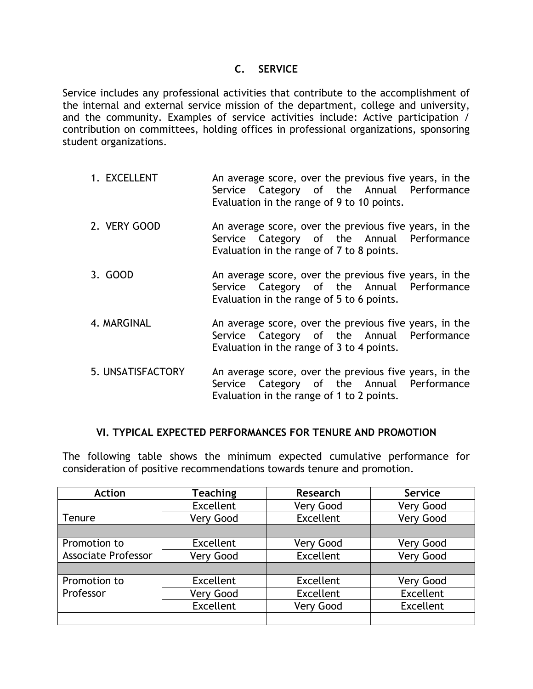## **C. SERVICE**

Service includes any professional activities that contribute to the accomplishment of the internal and external service mission of the department, college and university, and the community. Examples of service activities include: Active participation / contribution on committees, holding offices in professional organizations, sponsoring student organizations.

- 1. EXCELLENT An average score, over the previous five years, in the Service Category of the Annual Performance Evaluation in the range of 9 to 10 points.
- 2. VERY GOOD An average score, over the previous five years, in the Service Category of the Annual Performance Evaluation in the range of 7 to 8 points.
- 3. GOOD An average score, over the previous five years, in the Service Category of the Annual Performance Evaluation in the range of 5 to 6 points.
- 4. MARGINAL **An average score, over the previous five years**, in the Service Category of the Annual Performance Evaluation in the range of 3 to 4 points.
- 5. UNSATISFACTORY An average score, over the previous five years, in the Service Category of the Annual Performance Evaluation in the range of 1 to 2 points.

#### **VI. TYPICAL EXPECTED PERFORMANCES FOR TENURE AND PROMOTION**

The following table shows the minimum expected cumulative performance for consideration of positive recommendations towards tenure and promotion.

| <b>Action</b>              | <b>Teaching</b> | <b>Research</b> | <b>Service</b>   |
|----------------------------|-----------------|-----------------|------------------|
|                            | Excellent       | Very Good       | <b>Very Good</b> |
| <b>Tenure</b>              | Very Good       | Excellent       | Very Good        |
|                            |                 |                 |                  |
| Promotion to               | Excellent       | Very Good       | Very Good        |
| <b>Associate Professor</b> | Very Good       | Excellent       | Very Good        |
|                            |                 |                 |                  |
| Promotion to               | Excellent       | Excellent       | Very Good        |
| Professor                  | Very Good       | Excellent       | Excellent        |
|                            | Excellent       | Very Good       | Excellent        |
|                            |                 |                 |                  |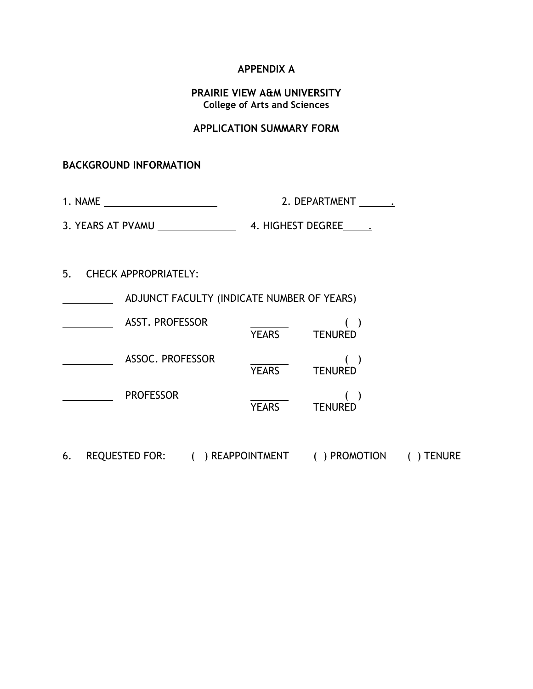## **APPENDIX A**

#### **PRAIRIE VIEW A&M UNIVERSITY College of Arts and Sciences**

#### **APPLICATION SUMMARY FORM**

#### **BACKGROUND INFORMATION**

| $\overline{\phantom{a}}$<br><b>NAME</b> | <b>DEPARTMENT</b> |  |
|-----------------------------------------|-------------------|--|
|                                         |                   |  |

3. YEARS AT PVAMU 4. HIGHEST DEGREE .

#### 5. CHECK APPROPRIATELY:

ADJUNCT FACULTY (INDICATE NUMBER OF YEARS)

| <b>ASST. PROFESSOR</b> | <b>YEARS</b> | <b>TENURED</b> |
|------------------------|--------------|----------------|
| ASSOC. PROFESSOR       | <b>YEARS</b> | <b>TENURED</b> |
| <b>PROFESSOR</b>       | <b>YEARS</b> | <b>TENURED</b> |

6. REQUESTED FOR: ( ) REAPPOINTMENT ( ) PROMOTION ( ) TENURE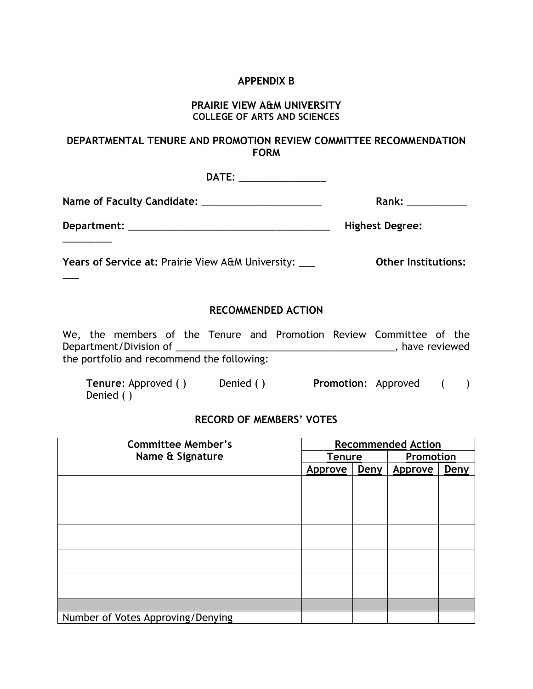#### **APPENDIX B**

#### **PRAIRIE VIEW A&M UNIVERSITY COLLEGE OF ARTS AND SCIENCES**

#### **DEPARTMENTAL TENURE AND PROMOTION REVIEW COMMITTEE RECOMMENDATION FORM**

**DATE**: \_\_\_\_\_\_\_\_\_\_\_\_\_\_\_\_ **Name of Faculty Candidate:** \_\_\_\_\_\_\_\_\_\_\_\_\_\_\_\_\_\_\_\_\_\_ **Rank:** \_\_\_\_\_\_\_\_\_\_\_ **Department:** \_\_\_\_\_\_\_\_\_\_\_\_\_\_\_\_\_\_\_\_\_\_\_\_\_\_\_\_\_\_\_\_\_\_\_\_\_ **Highest Degree:**  $\overline{\phantom{a}}$ **Years of Service at:** Prairie View A&M University: \_\_\_ **Other Institutions:**  $\overline{\phantom{a}}$ **RECOMMENDED ACTION** We, the members of the Tenure and Promotion Review Committee of the Department/Division of \_\_\_\_\_\_\_\_\_\_\_\_\_\_\_\_\_\_\_\_\_\_\_\_\_\_\_\_\_\_\_\_\_\_\_\_\_\_\_\_, have reviewed the portfolio and recommend the following: **Tenure**: Approved ( ) Denied ( ) **Promotion**: Approved ( ) Denied ( )

#### **RECORD OF MEMBERS' VOTES**

| <b>Committee Member's</b>         | <b>Recommended Action</b> |             |           |      |
|-----------------------------------|---------------------------|-------------|-----------|------|
| Name & Signature                  | <b>Tenure</b>             |             | Promotion |      |
|                                   | Approve                   | <b>Deny</b> | Approve   | Deny |
|                                   |                           |             |           |      |
|                                   |                           |             |           |      |
|                                   |                           |             |           |      |
|                                   |                           |             |           |      |
|                                   |                           |             |           |      |
|                                   |                           |             |           |      |
|                                   |                           |             |           |      |
|                                   |                           |             |           |      |
|                                   |                           |             |           |      |
|                                   |                           |             |           |      |
| Number of Votes Approving/Denying |                           |             |           |      |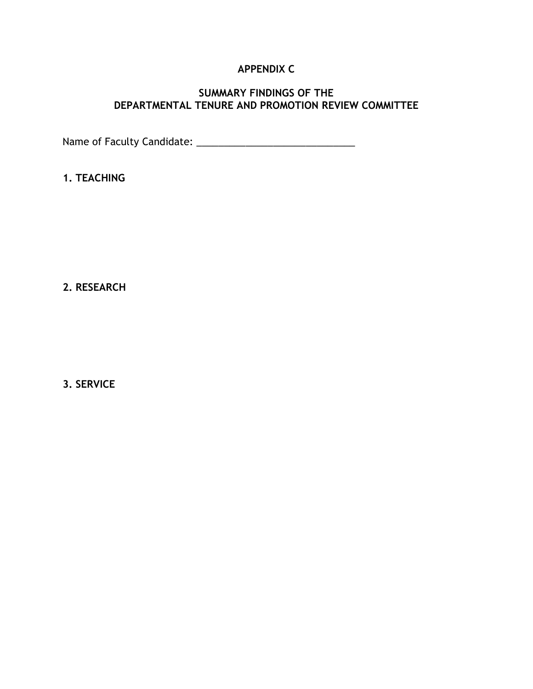# **APPENDIX C**

# **SUMMARY FINDINGS OF THE DEPARTMENTAL TENURE AND PROMOTION REVIEW COMMITTEE**

Name of Faculty Candidate: \_\_\_\_\_\_\_\_\_\_\_\_\_\_\_\_\_\_\_\_\_\_\_\_\_\_\_\_\_

**1. TEACHING**

**2. RESEARCH**

**3. SERVICE**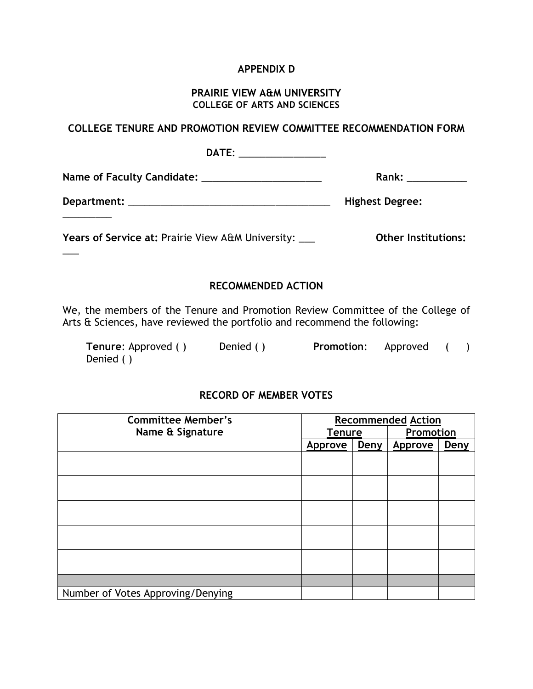# **APPENDIX D**

#### **PRAIRIE VIEW A&M UNIVERSITY COLLEGE OF ARTS AND SCIENCES**

## **COLLEGE TENURE AND PROMOTION REVIEW COMMITTEE RECOMMENDATION FORM**

| DATE: __________________                              |                            |
|-------------------------------------------------------|----------------------------|
|                                                       | Rank: _____________        |
|                                                       | <b>Highest Degree:</b>     |
| Years of Service at: Prairie View A&M University: ___ | <b>Other Institutions:</b> |

## **RECOMMENDED ACTION**

 $\overline{\phantom{a}}$ 

We, the members of the Tenure and Promotion Review Committee of the College of Arts & Sciences, have reviewed the portfolio and recommend the following:

| Tenure: Approved () | Denied () | <b>Promotion:</b> Approved |  |  |
|---------------------|-----------|----------------------------|--|--|
| Denied ()           |           |                            |  |  |

### **RECORD OF MEMBER VOTES**

| <b>Committee Member's</b>         | <b>Recommended Action</b> |      |           |      |
|-----------------------------------|---------------------------|------|-----------|------|
| Name & Signature                  | <b>Tenure</b>             |      | Promotion |      |
|                                   | Approve                   | Deny | Approve   | Deny |
|                                   |                           |      |           |      |
|                                   |                           |      |           |      |
|                                   |                           |      |           |      |
|                                   |                           |      |           |      |
|                                   |                           |      |           |      |
|                                   |                           |      |           |      |
|                                   |                           |      |           |      |
|                                   |                           |      |           |      |
|                                   |                           |      |           |      |
|                                   |                           |      |           |      |
|                                   |                           |      |           |      |
| Number of Votes Approving/Denying |                           |      |           |      |